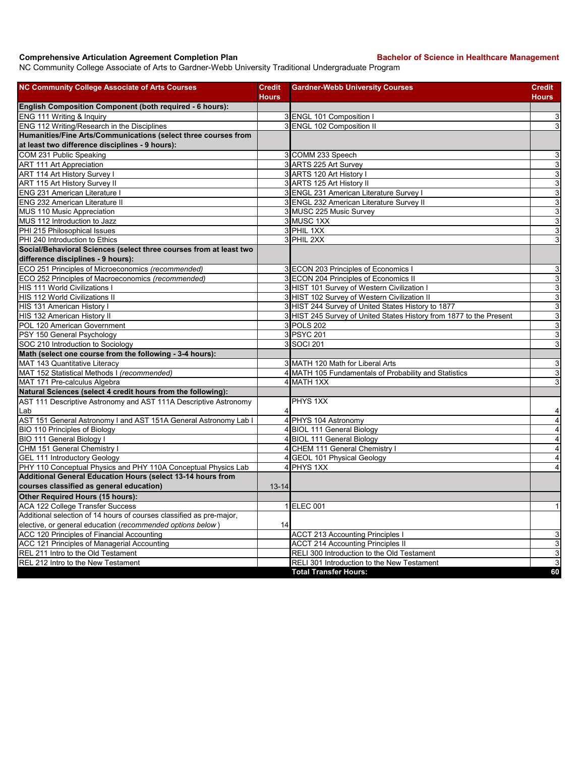## **Comprehensive Articulation Agreement Completion Plan Backelor of Science in Healthcare Management**

NC Community College Associate of Arts to Gardner-Webb University Traditional Undergraduate Program

| <b>NC Community College Associate of Arts Courses</b>                    | <b>Credit</b> | <b>Gardner-Webb University Courses</b>                              | <b>Credit</b>  |
|--------------------------------------------------------------------------|---------------|---------------------------------------------------------------------|----------------|
|                                                                          | <b>Hours</b>  |                                                                     | <b>Hours</b>   |
| English Composition Component (both required - 6 hours):                 |               |                                                                     |                |
| ENG 111 Writing & Inquiry<br>ENG 112 Writing/Research in the Disciplines |               | 3 ENGL 101 Composition I<br>3 ENGL 102 Composition II               | 3              |
| Humanities/Fine Arts/Communications (select three courses from           |               |                                                                     | 3              |
| at least two difference disciplines - 9 hours):                          |               |                                                                     |                |
| COM 231 Public Speaking                                                  |               | 3 COMM 233 Speech                                                   | 3              |
| <b>ART 111 Art Appreciation</b>                                          |               | 3 ARTS 225 Art Survey                                               | 3              |
| ART 114 Art History Survey I                                             |               | 3 ARTS 120 Art History I                                            | 3              |
| ART 115 Art History Survey II                                            |               | 3 ARTS 125 Art History II                                           | $\mathbf{3}$   |
| ENG 231 American Literature I                                            |               | 3 ENGL 231 American Literature Survey I                             | 3              |
| ENG 232 American Literature II                                           |               | 3 ENGL 232 American Literature Survey II                            | 3              |
| MUS 110 Music Appreciation                                               |               | 3 MUSC 225 Music Survey                                             | 3              |
| MUS 112 Introduction to Jazz                                             |               | 3 MUSC 1XX                                                          | $\mathbf{3}$   |
| PHI 215 Philosophical Issues                                             |               | 3 PHIL 1XX                                                          | 3              |
| PHI 240 Introduction to Ethics                                           |               | 3 PHIL 2XX                                                          | 3              |
| Social/Behavioral Sciences (select three courses from at least two       |               |                                                                     |                |
| difference disciplines - 9 hours):                                       |               |                                                                     |                |
| ECO 251 Principles of Microeconomics (recommended)                       |               | 3 ECON 203 Principles of Economics I                                | 3              |
| ECO 252 Principles of Macroeconomics (recommended)                       |               | 3 ECON 204 Principles of Economics II                               | 3              |
| HIS 111 World Civilizations I                                            |               | 3 HIST 101 Survey of Western Civilization I                         | 3              |
| HIS 112 World Civilizations II                                           |               | 3 HIST 102 Survey of Western Civilization II                        | 3              |
| HIS 131 American History I                                               |               | 3 HIST 244 Survey of United States History to 1877                  | 3              |
| HIS 132 American History II                                              |               | 3 HIST 245 Survey of United States History from 1877 to the Present | 3              |
| POL 120 American Government                                              |               | 3 POLS 202                                                          | 3              |
| PSY 150 General Psychology                                               |               | 3 PSYC 201                                                          | 3              |
| SOC 210 Introduction to Sociology                                        |               | 3 SOCI 201                                                          | 3              |
| Math (select one course from the following - 3-4 hours):                 |               |                                                                     |                |
| MAT 143 Quantitative Literacy                                            |               | 3 MATH 120 Math for Liberal Arts                                    | 3              |
| MAT 152 Statistical Methods I (recommended)                              |               | 4 MATH 105 Fundamentals of Probability and Statistics               | 3              |
| MAT 171 Pre-calculus Algebra                                             |               | 4 MATH 1XX                                                          | 3              |
| Natural Sciences (select 4 credit hours from the following):             |               |                                                                     |                |
| AST 111 Descriptive Astronomy and AST 111A Descriptive Astronomy         |               | PHYS 1XX                                                            |                |
| Lab                                                                      |               |                                                                     | 4              |
| AST 151 General Astronomy I and AST 151A General Astronomy Lab I         |               | 4 PHYS 104 Astronomy                                                | $\overline{4}$ |
| BIO 110 Principles of Biology                                            |               | 4 BIOL 111 General Biology                                          | $\overline{4}$ |
| BIO 111 General Biology I                                                |               | 4 BIOL 111 General Biology                                          | $\overline{4}$ |
| CHM 151 General Chemistry I                                              |               | 4 CHEM 111 General Chemistry I                                      | $\overline{4}$ |
| <b>GEL 111 Introductory Geology</b>                                      |               | 4 GEOL 101 Physical Geology                                         | $\overline{4}$ |
| PHY 110 Conceptual Physics and PHY 110A Conceptual Physics Lab           |               | 4 PHYS 1XX                                                          | $\overline{4}$ |
| Additional General Education Hours (select 13-14 hours from              |               |                                                                     |                |
| courses classified as general education)                                 | $13 - 14$     |                                                                     |                |
| Other Required Hours (15 hours):                                         |               |                                                                     |                |
| ACA 122 College Transfer Success                                         |               | 1 ELEC 001                                                          | $\mathbf{1}$   |
| Additional selection of 14 hours of courses classified as pre-major,     |               |                                                                     |                |
| elective, or general education (recommended options below)               | 14            |                                                                     |                |
| ACC 120 Principles of Financial Accounting                               |               | <b>ACCT 213 Accounting Principles I</b>                             | 3              |
| ACC 121 Principles of Managerial Accounting                              |               | <b>ACCT 214 Accounting Principles II</b>                            | 3              |
| REL 211 Intro to the Old Testament                                       |               | RELI 300 Introduction to the Old Testament                          | $\overline{3}$ |
| REL 212 Intro to the New Testament                                       |               | RELI 301 Introduction to the New Testament                          | 3              |
|                                                                          |               | <b>Total Transfer Hours:</b>                                        | 60             |